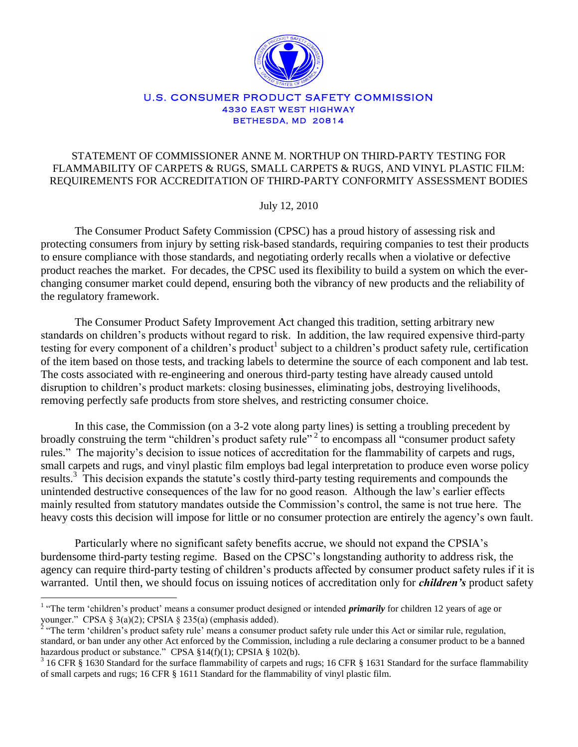

#### U.S. CONSUMER PRODUCT SAFETY COMMISSION **4330 EAST WEST HIGHWAY BETHESDA, MD 20814**

## STATEMENT OF COMMISSIONER ANNE M. NORTHUP ON THIRD-PARTY TESTING FOR FLAMMABILITY OF CARPETS & RUGS, SMALL CARPETS & RUGS, AND VINYL PLASTIC FILM: REQUIREMENTS FOR ACCREDITATION OF THIRD-PARTY CONFORMITY ASSESSMENT BODIES

July 12, 2010

The Consumer Product Safety Commission (CPSC) has a proud history of assessing risk and protecting consumers from injury by setting risk-based standards, requiring companies to test their products to ensure compliance with those standards, and negotiating orderly recalls when a violative or defective product reaches the market. For decades, the CPSC used its flexibility to build a system on which the everchanging consumer market could depend, ensuring both the vibrancy of new products and the reliability of the regulatory framework.

The Consumer Product Safety Improvement Act changed this tradition, setting arbitrary new standards on children"s products without regard to risk. In addition, the law required expensive third-party testing for every component of a children's product<sup>1</sup> subject to a children's product safety rule, certification of the item based on those tests, and tracking labels to determine the source of each component and lab test. The costs associated with re-engineering and onerous third-party testing have already caused untold disruption to children"s product markets: closing businesses, eliminating jobs, destroying livelihoods, removing perfectly safe products from store shelves, and restricting consumer choice.

In this case, the Commission (on a 3-2 vote along party lines) is setting a troubling precedent by broadly construing the term "children's product safety rule"<sup>2</sup> to encompass all "consumer product safety rules." The majority's decision to issue notices of accreditation for the flammability of carpets and rugs, small carpets and rugs, and vinyl plastic film employs bad legal interpretation to produce even worse policy results.<sup>3</sup> This decision expands the statute's costly third-party testing requirements and compounds the unintended destructive consequences of the law for no good reason. Although the law"s earlier effects mainly resulted from statutory mandates outside the Commission"s control, the same is not true here. The heavy costs this decision will impose for little or no consumer protection are entirely the agency"s own fault.

Particularly where no significant safety benefits accrue, we should not expand the CPSIA"s burdensome third-party testing regime. Based on the CPSC"s longstanding authority to address risk, the agency can require third-party testing of children"s products affected by consumer product safety rules if it is warranted. Until then, we should focus on issuing notices of accreditation only for *children's* product safety

<sup>&</sup>lt;sup>1</sup> "The term 'children's product' means a consumer product designed or intended *primarily* for children 12 years of age or younger." CPSA § 3(a)(2); CPSIA § 235(a) (emphasis added).

<sup>&</sup>lt;sup>2</sup> "The term 'children's product safety rule' means a consumer product safety rule under this Act or similar rule, regulation, standard, or ban under any other Act enforced by the Commission, including a rule declaring a consumer product to be a banned hazardous product or substance." CPSA §14(f)(1); CPSIA § 102(b).

 $3$  16 CFR  $\S$  1630 Standard for the surface flammability of carpets and rugs; 16 CFR  $\S$  1631 Standard for the surface flammability of small carpets and rugs; 16 CFR § 1611 Standard for the flammability of vinyl plastic film.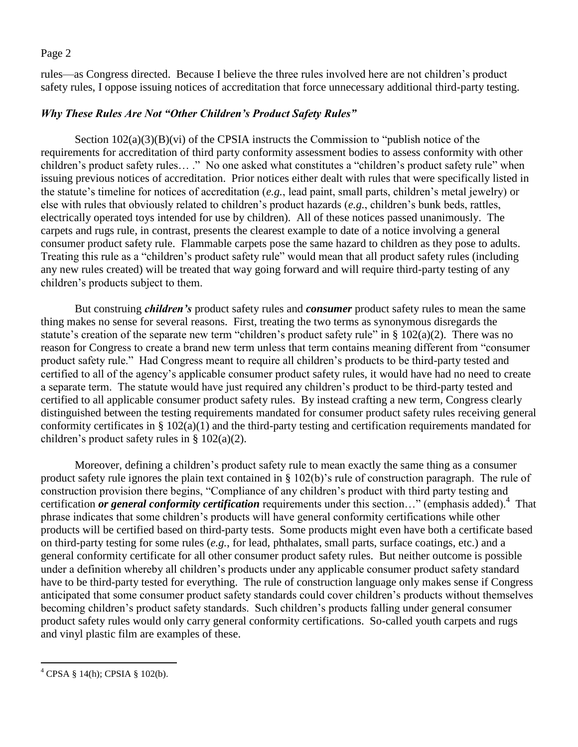rules—as Congress directed. Because I believe the three rules involved here are not children"s product safety rules, I oppose issuing notices of accreditation that force unnecessary additional third-party testing.

# *Why These Rules Are Not "Other Children's Product Safety Rules"*

Section  $102(a)(3)(B)(vi)$  of the CPSIA instructs the Commission to "publish notice of the requirements for accreditation of third party conformity assessment bodies to assess conformity with other children"s product safety rules… ." No one asked what constitutes a "children"s product safety rule" when issuing previous notices of accreditation. Prior notices either dealt with rules that were specifically listed in the statute"s timeline for notices of accreditation (*e.g.*, lead paint, small parts, children"s metal jewelry) or else with rules that obviously related to children"s product hazards (*e.g.*, children"s bunk beds, rattles, electrically operated toys intended for use by children). All of these notices passed unanimously. The carpets and rugs rule, in contrast, presents the clearest example to date of a notice involving a general consumer product safety rule. Flammable carpets pose the same hazard to children as they pose to adults. Treating this rule as a "children"s product safety rule" would mean that all product safety rules (including any new rules created) will be treated that way going forward and will require third-party testing of any children"s products subject to them.

But construing *children's* product safety rules and *consumer* product safety rules to mean the same thing makes no sense for several reasons. First, treating the two terms as synonymous disregards the statute's creation of the separate new term "children's product safety rule" in § 102(a)(2). There was no reason for Congress to create a brand new term unless that term contains meaning different from "consumer product safety rule." Had Congress meant to require all children"s products to be third-party tested and certified to all of the agency"s applicable consumer product safety rules, it would have had no need to create a separate term. The statute would have just required any children"s product to be third-party tested and certified to all applicable consumer product safety rules. By instead crafting a new term, Congress clearly distinguished between the testing requirements mandated for consumer product safety rules receiving general conformity certificates in § 102(a)(1) and the third-party testing and certification requirements mandated for children"s product safety rules in § 102(a)(2).

Moreover, defining a children"s product safety rule to mean exactly the same thing as a consumer product safety rule ignores the plain text contained in § 102(b)"s rule of construction paragraph. The rule of construction provision there begins, "Compliance of any children's product with third party testing and certification *or general conformity certification* requirements under this section..." (emphasis added).<sup>4</sup> That phrase indicates that some children"s products will have general conformity certifications while other products will be certified based on third-party tests. Some products might even have both a certificate based on third-party testing for some rules (*e.g.*, for lead, phthalates, small parts, surface coatings, etc.) and a general conformity certificate for all other consumer product safety rules. But neither outcome is possible under a definition whereby all children"s products under any applicable consumer product safety standard have to be third-party tested for everything. The rule of construction language only makes sense if Congress anticipated that some consumer product safety standards could cover children"s products without themselves becoming children"s product safety standards. Such children"s products falling under general consumer product safety rules would only carry general conformity certifications. So-called youth carpets and rugs and vinyl plastic film are examples of these.

 $\overline{a}$ 

 $^{4}$  CPSA § 14(h); CPSIA § 102(b).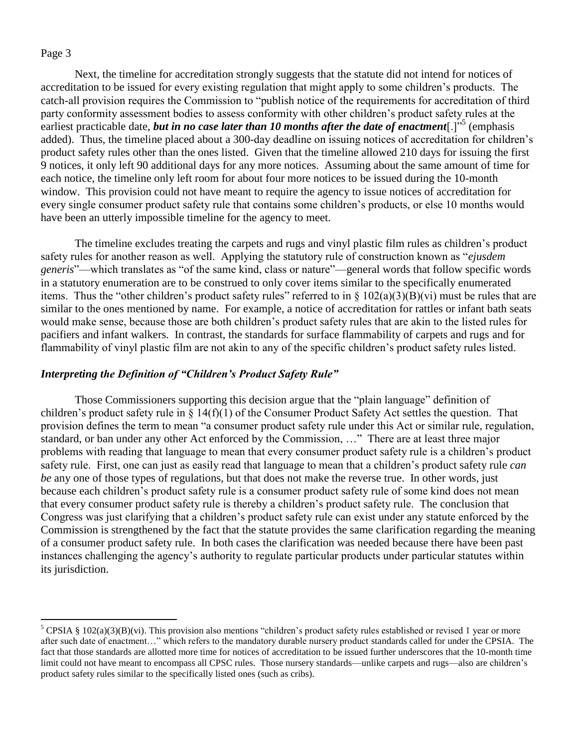$\overline{a}$ 

Next, the timeline for accreditation strongly suggests that the statute did not intend for notices of accreditation to be issued for every existing regulation that might apply to some children"s products. The catch-all provision requires the Commission to "publish notice of the requirements for accreditation of third party conformity assessment bodies to assess conformity with other children"s product safety rules at the earliest practicable date, **but in no case later than 10 months after the date of enactment**[.]<sup>55</sup> (emphasis added). Thus, the timeline placed about a 300-day deadline on issuing notices of accreditation for children"s product safety rules other than the ones listed. Given that the timeline allowed 210 days for issuing the first 9 notices, it only left 90 additional days for any more notices. Assuming about the same amount of time for each notice, the timeline only left room for about four more notices to be issued during the 10-month window. This provision could not have meant to require the agency to issue notices of accreditation for every single consumer product safety rule that contains some children"s products, or else 10 months would have been an utterly impossible timeline for the agency to meet.

The timeline excludes treating the carpets and rugs and vinyl plastic film rules as children"s product safety rules for another reason as well. Applying the statutory rule of construction known as "*ejusdem generis*"—which translates as "of the same kind, class or nature"—general words that follow specific words in a statutory enumeration are to be construed to only cover items similar to the specifically enumerated items. Thus the "other children's product safety rules" referred to in  $\S$  102(a)(3)(B)(vi) must be rules that are similar to the ones mentioned by name. For example, a notice of accreditation for rattles or infant bath seats would make sense, because those are both children"s product safety rules that are akin to the listed rules for pacifiers and infant walkers. In contrast, the standards for surface flammability of carpets and rugs and for flammability of vinyl plastic film are not akin to any of the specific children"s product safety rules listed.

### *Interpreting the Definition of "Children's Product Safety Rule"*

Those Commissioners supporting this decision argue that the "plain language" definition of children"s product safety rule in § 14(f)(1) of the Consumer Product Safety Act settles the question. That provision defines the term to mean "a consumer product safety rule under this Act or similar rule, regulation, standard, or ban under any other Act enforced by the Commission, …" There are at least three major problems with reading that language to mean that every consumer product safety rule is a children"s product safety rule. First, one can just as easily read that language to mean that a children"s product safety rule *can be* any one of those types of regulations, but that does not make the reverse true. In other words, just because each children"s product safety rule is a consumer product safety rule of some kind does not mean that every consumer product safety rule is thereby a children"s product safety rule. The conclusion that Congress was just clarifying that a children"s product safety rule can exist under any statute enforced by the Commission is strengthened by the fact that the statute provides the same clarification regarding the meaning of a consumer product safety rule. In both cases the clarification was needed because there have been past instances challenging the agency"s authority to regulate particular products under particular statutes within its jurisdiction.

<sup>&</sup>lt;sup>5</sup> CPSIA § 102(a)(3)(B)(vi). This provision also mentions "children's product safety rules established or revised 1 year or more after such date of enactment…" which refers to the mandatory durable nursery product standards called for under the CPSIA. The fact that those standards are allotted more time for notices of accreditation to be issued further underscores that the 10-month time limit could not have meant to encompass all CPSC rules. Those nursery standards—unlike carpets and rugs—also are children's product safety rules similar to the specifically listed ones (such as cribs).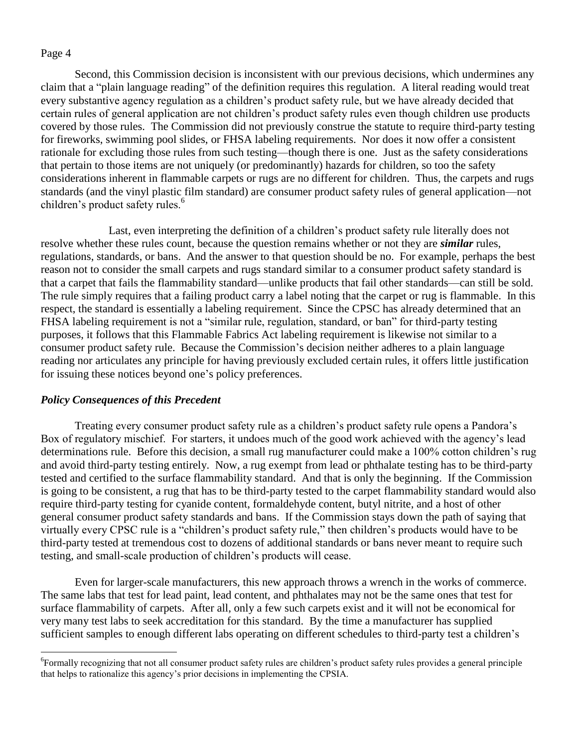$\overline{a}$ 

Second, this Commission decision is inconsistent with our previous decisions, which undermines any claim that a "plain language reading" of the definition requires this regulation. A literal reading would treat every substantive agency regulation as a children"s product safety rule, but we have already decided that certain rules of general application are not children"s product safety rules even though children use products covered by those rules. The Commission did not previously construe the statute to require third-party testing for fireworks, swimming pool slides, or FHSA labeling requirements. Nor does it now offer a consistent rationale for excluding those rules from such testing—though there is one. Just as the safety considerations that pertain to those items are not uniquely (or predominantly) hazards for children, so too the safety considerations inherent in flammable carpets or rugs are no different for children. Thus, the carpets and rugs standards (and the vinyl plastic film standard) are consumer product safety rules of general application—not children's product safety rules.<sup>6</sup>

Last, even interpreting the definition of a children"s product safety rule literally does not resolve whether these rules count, because the question remains whether or not they are *similar* rules, regulations, standards, or bans. And the answer to that question should be no. For example, perhaps the best reason not to consider the small carpets and rugs standard similar to a consumer product safety standard is that a carpet that fails the flammability standard—unlike products that fail other standards—can still be sold. The rule simply requires that a failing product carry a label noting that the carpet or rug is flammable. In this respect, the standard is essentially a labeling requirement. Since the CPSC has already determined that an FHSA labeling requirement is not a "similar rule, regulation, standard, or ban" for third-party testing purposes, it follows that this Flammable Fabrics Act labeling requirement is likewise not similar to a consumer product safety rule. Because the Commission's decision neither adheres to a plain language reading nor articulates any principle for having previously excluded certain rules, it offers little justification for issuing these notices beyond one's policy preferences.

### *Policy Consequences of this Precedent*

Treating every consumer product safety rule as a children"s product safety rule opens a Pandora"s Box of regulatory mischief. For starters, it undoes much of the good work achieved with the agency's lead determinations rule. Before this decision, a small rug manufacturer could make a 100% cotton children"s rug and avoid third-party testing entirely. Now, a rug exempt from lead or phthalate testing has to be third-party tested and certified to the surface flammability standard. And that is only the beginning. If the Commission is going to be consistent, a rug that has to be third-party tested to the carpet flammability standard would also require third-party testing for cyanide content, formaldehyde content, butyl nitrite, and a host of other general consumer product safety standards and bans. If the Commission stays down the path of saying that virtually every CPSC rule is a "children"s product safety rule," then children"s products would have to be third-party tested at tremendous cost to dozens of additional standards or bans never meant to require such testing, and small-scale production of children"s products will cease.

Even for larger-scale manufacturers, this new approach throws a wrench in the works of commerce. The same labs that test for lead paint, lead content, and phthalates may not be the same ones that test for surface flammability of carpets. After all, only a few such carpets exist and it will not be economical for very many test labs to seek accreditation for this standard. By the time a manufacturer has supplied sufficient samples to enough different labs operating on different schedules to third-party test a children's

<sup>&</sup>lt;sup>6</sup>Formally recognizing that not all consumer product safety rules are children's product safety rules provides a general principle that helps to rationalize this agency"s prior decisions in implementing the CPSIA.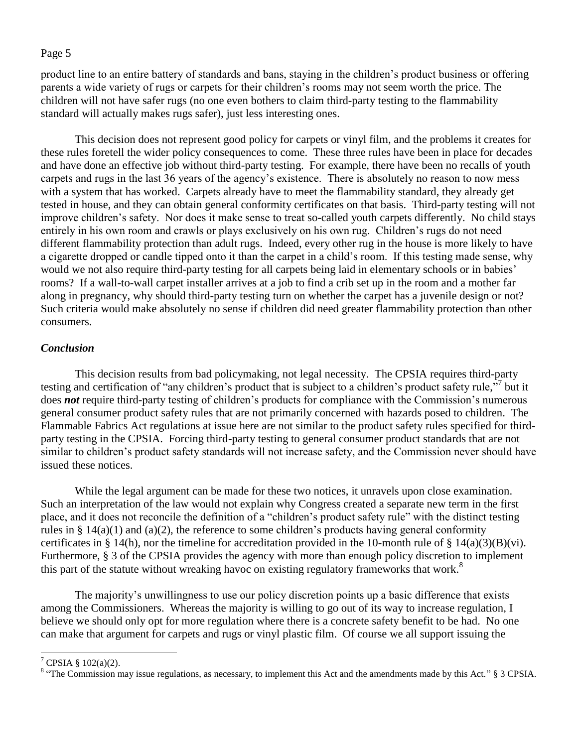product line to an entire battery of standards and bans, staying in the children"s product business or offering parents a wide variety of rugs or carpets for their children"s rooms may not seem worth the price. The children will not have safer rugs (no one even bothers to claim third-party testing to the flammability standard will actually makes rugs safer), just less interesting ones.

This decision does not represent good policy for carpets or vinyl film, and the problems it creates for these rules foretell the wider policy consequences to come. These three rules have been in place for decades and have done an effective job without third-party testing. For example, there have been no recalls of youth carpets and rugs in the last 36 years of the agency"s existence. There is absolutely no reason to now mess with a system that has worked. Carpets already have to meet the flammability standard, they already get tested in house, and they can obtain general conformity certificates on that basis. Third-party testing will not improve children"s safety. Nor does it make sense to treat so-called youth carpets differently. No child stays entirely in his own room and crawls or plays exclusively on his own rug. Children"s rugs do not need different flammability protection than adult rugs. Indeed, every other rug in the house is more likely to have a cigarette dropped or candle tipped onto it than the carpet in a child"s room. If this testing made sense, why would we not also require third-party testing for all carpets being laid in elementary schools or in babies' rooms? If a wall-to-wall carpet installer arrives at a job to find a crib set up in the room and a mother far along in pregnancy, why should third-party testing turn on whether the carpet has a juvenile design or not? Such criteria would make absolutely no sense if children did need greater flammability protection than other consumers.

## *Conclusion*

This decision results from bad policymaking, not legal necessity. The CPSIA requires third-party testing and certification of "any children's product that is subject to a children's product safety rule," but it does *not* require third-party testing of children's products for compliance with the Commission's numerous general consumer product safety rules that are not primarily concerned with hazards posed to children. The Flammable Fabrics Act regulations at issue here are not similar to the product safety rules specified for thirdparty testing in the CPSIA. Forcing third-party testing to general consumer product standards that are not similar to children"s product safety standards will not increase safety, and the Commission never should have issued these notices.

While the legal argument can be made for these two notices, it unravels upon close examination. Such an interpretation of the law would not explain why Congress created a separate new term in the first place, and it does not reconcile the definition of a "children"s product safety rule" with the distinct testing rules in § 14(a)(1) and (a)(2), the reference to some children's products having general conformity certificates in § 14(h), nor the timeline for accreditation provided in the 10-month rule of § 14(a)(3)(B)(vi). Furthermore, § 3 of the CPSIA provides the agency with more than enough policy discretion to implement this part of the statute without wreaking havoc on existing regulatory frameworks that work.<sup>8</sup>

The majority"s unwillingness to use our policy discretion points up a basic difference that exists among the Commissioners. Whereas the majority is willing to go out of its way to increase regulation, I believe we should only opt for more regulation where there is a concrete safety benefit to be had. No one can make that argument for carpets and rugs or vinyl plastic film. Of course we all support issuing the

 $\overline{a}$ 

 $7$  CPSIA § 102(a)(2).

 $8$  "The Commission may issue regulations, as necessary, to implement this Act and the amendments made by this Act."  $\S 3$  CPSIA.